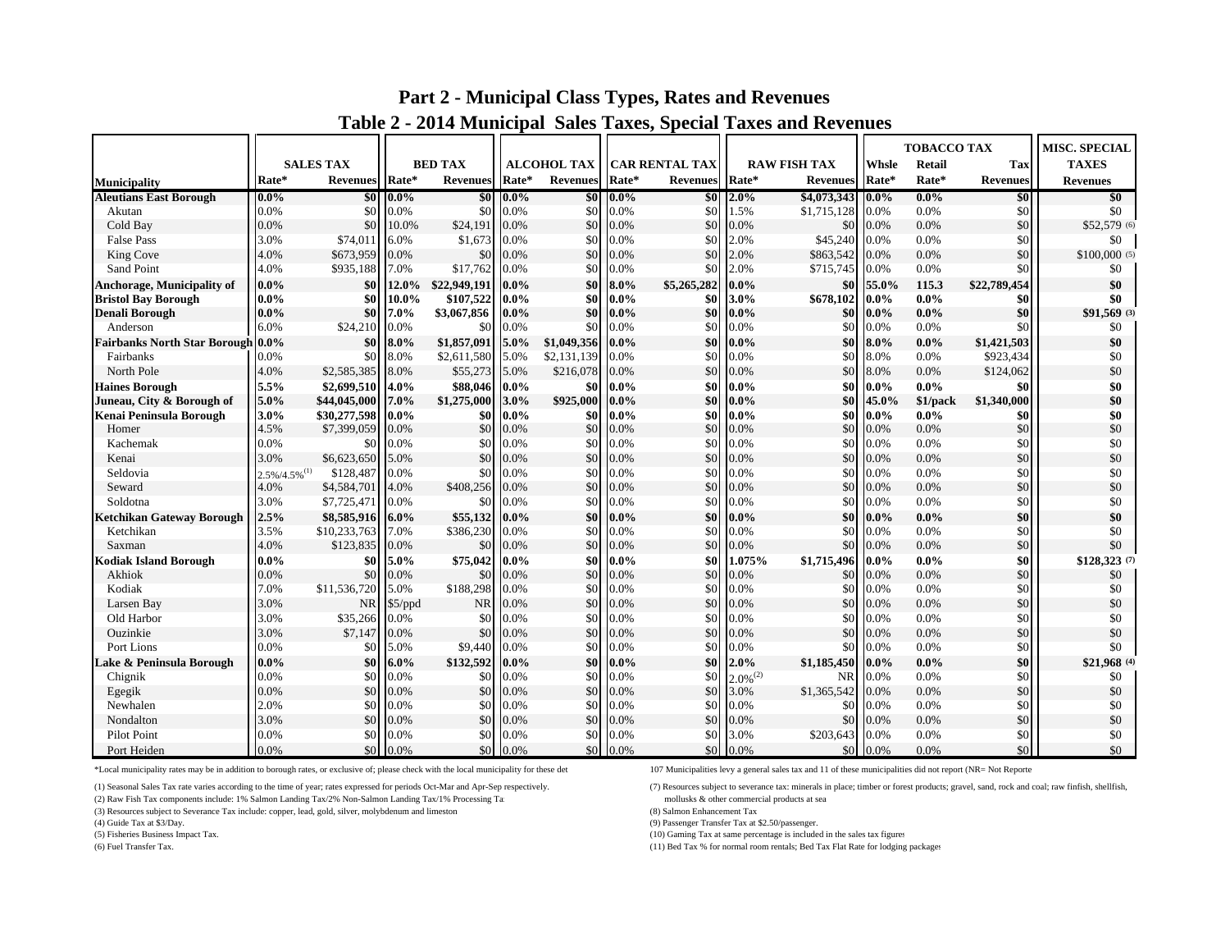|                                          |                 |                  |             |                       |                 |                    |             |                       |               |                     | TOBACCO TAX |          |                 | <b>MISC. SPECIAL</b> |
|------------------------------------------|-----------------|------------------|-------------|-----------------------|-----------------|--------------------|-------------|-----------------------|---------------|---------------------|-------------|----------|-----------------|----------------------|
|                                          |                 | <b>SALES TAX</b> |             | <b>BED TAX</b>        |                 | <b>ALCOHOL TAX</b> |             | <b>CAR RENTAL TAX</b> |               | <b>RAW FISH TAX</b> | Whsle       | Retail   | Tax             | <b>TAXES</b>         |
| <b>Municipality</b>                      | Rate*           | Revenues Rate*   |             | <b>Revenues</b> Rate* |                 | Revenues           | Rate*       | <b>Revenues</b>       | Rate*         | <b>Revenues</b>     | Rate*       | Rate*    | <b>Revenues</b> | <b>Revenues</b>      |
| <b>Aleutians East Borough</b>            | $0.0\%$         |                  | $$0\,0.0\%$ |                       | $$0\quad 0.0\%$ |                    | $$0\ 0.0\%$ | \$0                   | $2.0\%$       | \$4,073,343 0.0%    |             | $0.0\%$  | \$0             | \$0                  |
| Akutan                                   | 0.0%            | \$0              | 0.0%        | \$0                   | 0.0%            | \$0                | 0.0%        | \$0                   | 1.5%          | \$1,715,128         | 0.0%        | 0.0%     | \$0             | \$0                  |
| Cold Bay                                 | 0.0%            | \$0              | 10.0%       | \$24,191              | 0.0%            | \$0                | 0.0%        | \$0                   | 0.0%          | \$0 <sub>1</sub>    | 0.0%        | 0.0%     | \$0             | \$52,579 (6)         |
| <b>False Pass</b>                        | 3.0%            | \$74,011         | 6.0%        | \$1,673 0.0%          |                 | \$0                | 0.0%        | \$0                   | 2.0%          | \$45,240            | 0.0%        | 0.0%     | \$0             | \$0                  |
| King Cove                                | 4.0%            | \$673,959        | 0.0%        | \$0                   | 0.0%            | \$0                | 0.0%        | \$0                   | 2.0%          | \$863,542           | 0.0%        | 0.0%     | \$0             | $$100,000$ (5)       |
| Sand Point                               | 4.0%            | \$935,188        | 7.0%        | \$17,762              | 0.0%            | \$0                | 0.0%        | \$0                   | 2.0%          | \$715,745           | 0.0%        | 0.0%     | \$0             | \$0                  |
| <b>Anchorage, Municipality of</b>        | $0.0\%$         | \$0              | 12.0%       | \$22,949,191          | $0.0\%$         | \$0                | $8.0\%$     | \$5,265,282           | $0.0\%$       | \$0                 | 55.0%       | 115.3    | \$22,789,454    | \$0                  |
| <b>Bristol Bay Borough</b>               | $0.0\%$         | \$0              | 10.0%       | \$107,522             | $0.0\%$         | \$0                | $0.0\%$     | \$0                   | 3.0%          | \$678,102           | $0.0\%$     | $0.0\%$  | \$0             | \$0                  |
| <b>Denali Borough</b>                    | $0.0\%$         | \$0              | 7.0%        | \$3,067,856           | $0.0\%$         | \$0                | $0.0\%$     | \$0                   | $0.0\%$       | \$0                 | $0.0\%$     | $0.0\%$  | \$0             | \$91,569 (3)         |
| Anderson                                 | 6.0%            | \$24,210         | 0.0%        | \$0                   | 0.0%            | \$0                | 0.0%        | \$0                   | 0.0%          | \$0                 | 0.0%        | 0.0%     | \$0             | \$0                  |
| <b>Fairbanks North Star Borough 0.0%</b> |                 | \$0              | $8.0\%$     | \$1,857,091           | $5.0\%$         | \$1,049,356        | $0.0\%$     | \$0                   | $0.0\%$       | \$0                 | 8.0%        | $0.0\%$  | \$1,421,503     | \$0                  |
| Fairbanks                                | 0.0%            | \$0              | 8.0%        | \$2,611,580           | 5.0%            | \$2,131,139        | 0.0%        | \$0                   | 0.0%          | \$0                 | 8.0%        | 0.0%     | \$923,434       | \$0                  |
| North Pole                               | 4.0%            | \$2,585,385      | 8.0%        | \$55,273              | 5.0%            | \$216,078          | 0.0%        | \$0                   | 0.0%          | \$0                 | 8.0%        | 0.0%     | \$124,062       | \$0                  |
| <b>Haines Borough</b>                    | 5.5%            | \$2,699,510      | 4.0%        | \$88,046              | $0.0\%$         | \$0                | $0.0\%$     | \$0                   | $0.0\%$       | \$0                 | $0.0\%$     | $0.0\%$  | \$0             | \$0                  |
| Juneau, City & Borough of                | 5.0%            | \$44,045,000     | $17.0\%$    | \$1,275,000           | 3.0%            | \$925,000          | $0.0\%$     | \$0                   | $0.0\%$       | \$0                 | 45.0%       | \$1/pack | \$1,340,000     | \$0                  |
| Kenai Peninsula Borough                  | 3.0%            | \$30,277,598     | $0.0\%$     | \$0                   | $0.0\%$         | \$0                | $0.0\%$     | \$0                   | $0.0\%$       | \$0 I               | $0.0\%$     | $0.0\%$  | \$0             | \$0                  |
| Homer                                    | 4.5%            | \$7,399,059      | 0.0%        | \$0                   | 0.0%            | \$0                | 0.0%        | \$0                   | 0.0%          | \$0                 | 0.0%        | 0.0%     | \$0             | \$0                  |
| Kachemak                                 | 0.0%            | \$0              | 0.0%        | \$0                   | 0.0%            | \$0                | 0.0%        | \$0                   | 0.0%          | \$0                 | 0.0%        | 0.0%     | \$0             | \$0                  |
| Kenai                                    | 3.0%            | \$6,623,650      | 5.0%        | \$0 <sub>1</sub>      | 0.0%            | \$0                | 0.0%        | \$0                   | 0.0%          | \$0 <sub>1</sub>    | 0.0%        | 0.0%     | \$0             | \$0                  |
| Seldovia                                 | $2.5\%/4.5\%/1$ | \$128,487        | 0.0%        | \$0                   | 0.0%            | \$0                | 0.0%        | \$0                   | 0.0%          | \$0 <sub>1</sub>    | 0.0%        | 0.0%     | \$0             | \$0                  |
| Seward                                   | 4.0%            | \$4,584,701      | 4.0%        | \$408,256             | 0.0%            | \$0                | 0.0%        | \$0                   | 0.0%          | \$0                 | 0.0%        | 0.0%     | \$0             | \$0                  |
| Soldotna                                 | 3.0%            | \$7,725,471      | 0.0%        | \$0                   | 0.0%            | \$0                | 0.0%        | \$0                   | 0.0%          | \$0                 | 0.0%        | 0.0%     | \$0             | \$0                  |
| <b>Ketchikan Gateway Borough</b>         | 2.5%            | \$8,585,916      | $6.0\%$     | \$55,132              | $0.0\%$         | \$0                | $0.0\%$     | \$0                   | $0.0\%$       | \$0                 | $0.0\%$     | $0.0\%$  | \$0             | \$0                  |
| Ketchikan                                | 3.5%            | \$10,233,763     | 7.0%        | \$386,230             | 0.0%            | \$0                | 0.0%        | \$0                   | 0.0%          | \$0                 | 0.0%        | 0.0%     | \$0             | \$0                  |
| Saxman                                   | 4.0%            | \$123,835        | $0.0\%$     | \$0                   | 0.0%            | \$0                | 0.0%        | \$0                   | 0.0%          | \$0                 | 0.0%        | 0.0%     | \$0             | \$0                  |
| <b>Kodiak Island Borough</b>             | $0.0\%$         | -\$0             | 5.0%        | \$75,042 0.0%         |                 | \$0                | $0.0\%$     | \$0                   | 1.075%        | \$1,715,496         | $0.0\%$     | $0.0\%$  | \$0             | \$128,323 (7)        |
| Akhiok                                   | 0.0%            | \$0              | 0.0%        | \$0                   | 0.0%            | \$0                | 0.0%        | \$0                   | 0.0%          | \$0                 | 0.0%        | 0.0%     | \$0             | \$0                  |
| Kodiak                                   | 7.0%            | \$11,536,720     | 5.0%        | \$188,298             | 0.0%            | \$0                | 0.0%        | \$0                   | 0.0%          | \$0                 | 0.0%        | 0.0%     | \$0             | \$0                  |
| Larsen Bay                               | 3.0%            | <b>NR</b>        | \$5/ppd     | <b>NR</b>             | $0.0\%$         | \$0                | 0.0%        | \$0                   | 0.0%          | \$0                 | 0.0%        | 0.0%     | \$0             | \$0                  |
| Old Harbor                               | 3.0%            | \$35,266         | 0.0%        | \$0                   | 0.0%            | \$0                | 0.0%        | \$0                   | 0.0%          | \$0                 | 0.0%        | 0.0%     | \$0             | \$0                  |
| Ouzinkie                                 | 3.0%            | \$7,147          | 0.0%        | \$0                   | 0.0%            | \$0                | 0.0%        | \$0                   | 0.0%          | \$0                 | 0.0%        | 0.0%     | \$0             | \$0                  |
| Port Lions                               | 0.0%            | \$0              | 5.0%        | \$9.440               | 0.0%            | \$0                | 0.0%        | \$0                   | 0.0%          | \$0                 | 0.0%        | 0.0%     | \$0             | \$0                  |
| Lake & Peninsula Borough                 | $0.0\%$         | \$0              | 6.0%        | \$132,592             | $0.0\%$         | \$0                | $0.0\%$     | \$0                   | 2.0%          | \$1,185,450         | $0.0\%$     | $0.0\%$  | \$0             | \$21,968 (4)         |
| Chignik                                  | 0.0%            | \$0              | 0.0%        | \$0                   | 0.0%            | \$0                | 0.0%        | \$0                   | $2.0\%^{(2)}$ | <b>NR</b>           | 0.0%        | 0.0%     | \$0             | \$0                  |
| Egegik                                   | 0.0%            | \$0              | 0.0%        | \$0                   | 0.0%            | \$0                | 0.0%        | \$0                   | 3.0%          | \$1,365,542         | 0.0%        | 0.0%     | \$0             | \$0                  |
| Newhalen                                 | 2.0%            | \$0<br>\$0       | 0.0%        | \$0<br>\$0            | 0.0%            | \$0                | 0.0%        | \$0                   | 0.0%          | \$0                 | 0.0%        | 0.0%     | \$0<br>\$0      | \$0                  |
| Nondalton                                | 3.0%            |                  | 0.0%        |                       | 0.0%            | \$0                | 0.0%        | \$0                   | 0.0%          | \$0                 | 0.0%        | 0.0%     | \$0             | \$0                  |
| Pilot Point                              | 0.0%            | \$0              | 0.0%        | \$0                   | 0.0%            | \$0                | 0.0%        | \$0                   | 3.0%          | \$203,643           | 0.0%        | 0.0%     |                 | \$0                  |
| Port Heiden                              | 0.0%            |                  | \$0 0.0%    |                       | \$0.0%          | \$0 <sub>1</sub>   | 0.0%        | \$0                   | 0.0%          |                     | \$0 0.0%    | 0.0%     | \$0             | \$0                  |

## **Part 2 - Municipal Class Types, Rates and Revenues**

## **Table 2 - 2014 Munici pal Sales Taxes, S pecial Taxes and Revenues**

\*Local municipality rates may be in addition to borough rates, or exclusive of; please check with the local municipality for these det 107 Municipalities levy a general sales tax and 11 of these municipalities did not repo

(2) Raw Fish Tax components include: 1% Salmon Landing Tax/2% Non-Salmon Landing Tax/1% Processing Ta

(3) Resources subject to Severance Tax include: copper, lead, gold, silver, molybdenum and limeston (8) Salmon Enhancement Tax

(1) Seasonal Sales Tax rate varies according to the time of year; rates expressed for periods Oct-Mar and Apr-Sep respectively. (7) Resources subject to severance tax: minerals in place; timber or forest products; gravel,

(4) Guide Tax at \$3/Day. (9) Passenger Transfer Tax at \$2.50/passenger.<br>
(5) Fisheries Business Impact Tax. (10) Gaming Tax at same percentage is include (10) Gaming Tax at same percentage is included in the sales tax figures

(6) Fuel Transfer Tax. (11) Bed Tax % for normal room rentals; Bed Tax Flat Rate for lodging packages